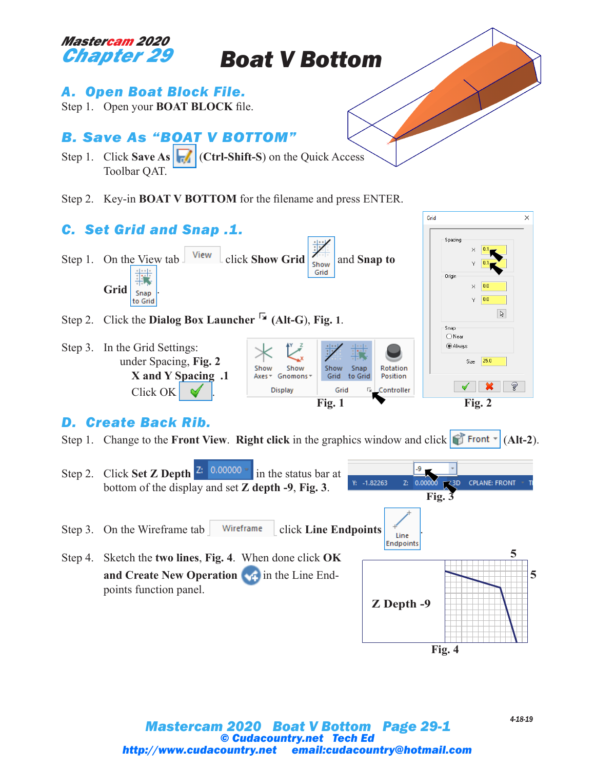

*Boat V Bottom*

## *A. Open Boat Block File.*

Step 1. Open your **BOAT BLOCK** file.

## *B. Save As "BOAT V BOTTOM"*

Step 1. Click **Save As (Ctrl-Shift-S)** on the Quick Access Toolbar QAT.

Step 2. Key-in **BOAT V BOTTOM** for the filename and press ENTER.



## *D. Create Back Rib.*

Step 1. Change to the **Front View. Right click** in the graphics window and click  $\mathbf{f}$  **Front**  $\mathbf{f}$  (Alt-2).

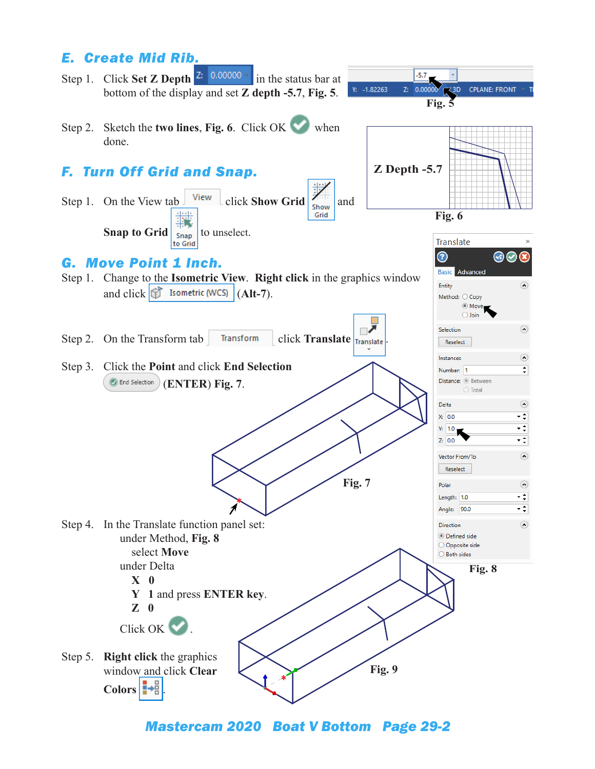

*Mastercam 2020 Boat V Bottom Page 29-2*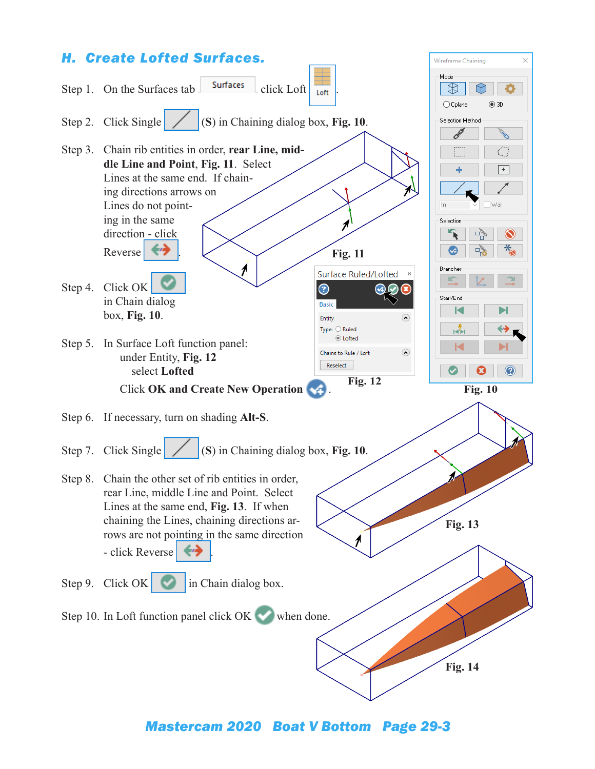

*Mastercam 2020 Boat V Bottom Page 29-3*